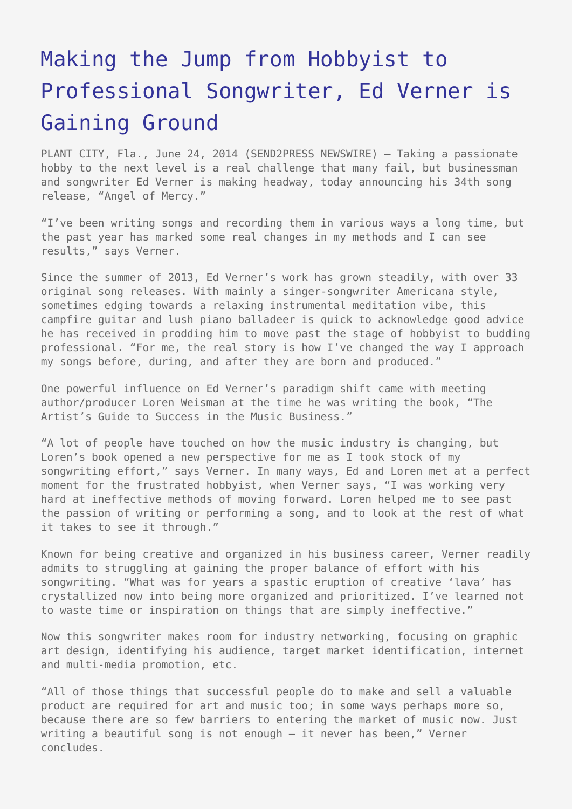## [Making the Jump from Hobbyist to](https://www.send2press.com/wire/making-the-jump-from-hobbyist-to-professional-songwriter-ed-verner-is-gaining-ground_2014-06-0623-003/) [Professional Songwriter, Ed Verner is](https://www.send2press.com/wire/making-the-jump-from-hobbyist-to-professional-songwriter-ed-verner-is-gaining-ground_2014-06-0623-003/) [Gaining Ground](https://www.send2press.com/wire/making-the-jump-from-hobbyist-to-professional-songwriter-ed-verner-is-gaining-ground_2014-06-0623-003/)

PLANT CITY, Fla., June 24, 2014 (SEND2PRESS NEWSWIRE) — Taking a passionate hobby to the next level is a real challenge that many fail, but businessman and songwriter Ed Verner is making headway, today announcing his 34th song release, "Angel of Mercy."

"I've been writing songs and recording them in various ways a long time, but the past year has marked some real changes in my methods and I can see results," says Verner.

Since the summer of 2013, Ed Verner's work has grown steadily, with over 33 original song releases. With mainly a singer-songwriter Americana style, sometimes edging towards a relaxing instrumental meditation vibe, this campfire guitar and lush piano balladeer is quick to acknowledge good advice he has received in prodding him to move past the stage of hobbyist to budding professional. "For me, the real story is how I've changed the way I approach my songs before, during, and after they are born and produced."

One powerful influence on Ed Verner's paradigm shift came with meeting author/producer Loren Weisman at the time he was writing the book, "The Artist's Guide to Success in the Music Business."

"A lot of people have touched on how the music industry is changing, but Loren's book opened a new perspective for me as I took stock of my songwriting effort," says Verner. In many ways, Ed and Loren met at a perfect moment for the frustrated hobbyist, when Verner says, "I was working very hard at ineffective methods of moving forward. Loren helped me to see past the passion of writing or performing a song, and to look at the rest of what it takes to see it through."

Known for being creative and organized in his business career, Verner readily admits to struggling at gaining the proper balance of effort with his songwriting. "What was for years a spastic eruption of creative 'lava' has crystallized now into being more organized and prioritized. I've learned not to waste time or inspiration on things that are simply ineffective."

Now this songwriter makes room for industry networking, focusing on graphic art design, identifying his audience, target market identification, internet and multi-media promotion, etc.

"All of those things that successful people do to make and sell a valuable product are required for art and music too; in some ways perhaps more so, because there are so few barriers to entering the market of music now. Just writing a beautiful song is not enough – it never has been," Verner concludes.